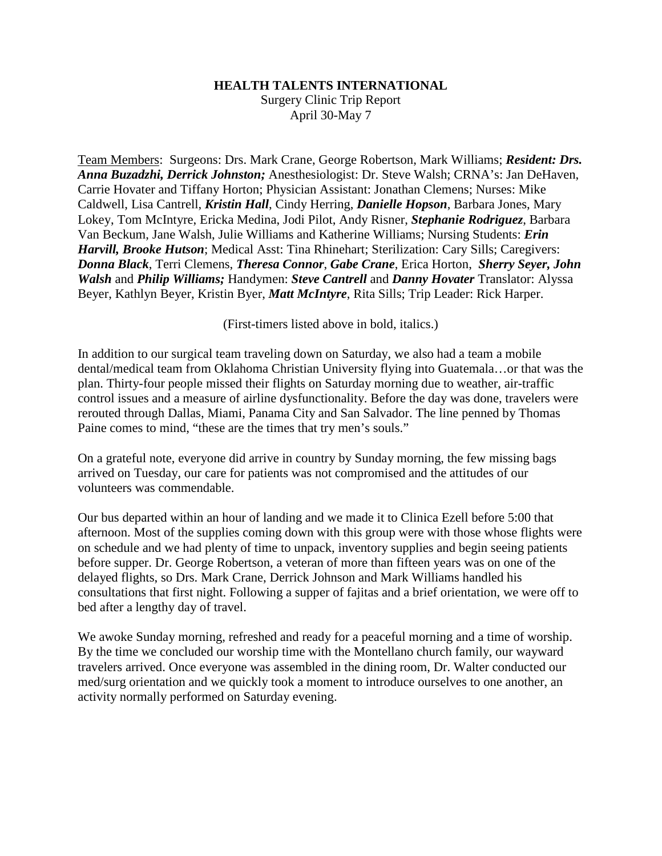## **HEALTH TALENTS INTERNATIONAL**

Surgery Clinic Trip Report April 30-May 7

Team Members: Surgeons: Drs. Mark Crane, George Robertson, Mark Williams; *Resident: Drs. Anna Buzadzhi, Derrick Johnston;* Anesthesiologist: Dr. Steve Walsh; CRNA's: Jan DeHaven, Carrie Hovater and Tiffany Horton; Physician Assistant: Jonathan Clemens; Nurses: Mike Caldwell, Lisa Cantrell, *Kristin Hall*, Cindy Herring, *Danielle Hopson*, Barbara Jones, Mary Lokey, Tom McIntyre, Ericka Medina, Jodi Pilot, Andy Risner, *Stephanie Rodriguez*, Barbara Van Beckum, Jane Walsh, Julie Williams and Katherine Williams; Nursing Students: *Erin Harvill, Brooke Hutson*; Medical Asst: Tina Rhinehart; Sterilization: Cary Sills; Caregivers: *Donna Black*, Terri Clemens, *Theresa Connor*, *Gabe Crane*, Erica Horton, *Sherry Seyer, John Walsh* and *Philip Williams;* Handymen: *Steve Cantrell* and *Danny Hovater* Translator: Alyssa Beyer, Kathlyn Beyer, Kristin Byer, *Matt McIntyre*, Rita Sills; Trip Leader: Rick Harper.

(First-timers listed above in bold, italics.)

In addition to our surgical team traveling down on Saturday, we also had a team a mobile dental/medical team from Oklahoma Christian University flying into Guatemala…or that was the plan. Thirty-four people missed their flights on Saturday morning due to weather, air-traffic control issues and a measure of airline dysfunctionality. Before the day was done, travelers were rerouted through Dallas, Miami, Panama City and San Salvador. The line penned by Thomas Paine comes to mind, "these are the times that try men's souls."

On a grateful note, everyone did arrive in country by Sunday morning, the few missing bags arrived on Tuesday, our care for patients was not compromised and the attitudes of our volunteers was commendable.

Our bus departed within an hour of landing and we made it to Clinica Ezell before 5:00 that afternoon. Most of the supplies coming down with this group were with those whose flights were on schedule and we had plenty of time to unpack, inventory supplies and begin seeing patients before supper. Dr. George Robertson, a veteran of more than fifteen years was on one of the delayed flights, so Drs. Mark Crane, Derrick Johnson and Mark Williams handled his consultations that first night. Following a supper of fajitas and a brief orientation, we were off to bed after a lengthy day of travel.

We awoke Sunday morning, refreshed and ready for a peaceful morning and a time of worship. By the time we concluded our worship time with the Montellano church family, our wayward travelers arrived. Once everyone was assembled in the dining room, Dr. Walter conducted our med/surg orientation and we quickly took a moment to introduce ourselves to one another, an activity normally performed on Saturday evening.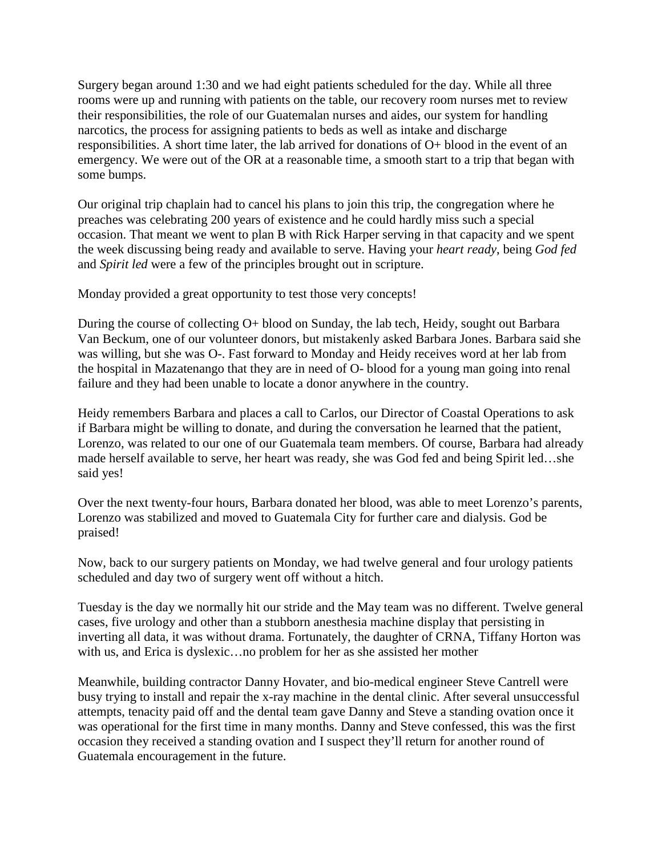Surgery began around 1:30 and we had eight patients scheduled for the day. While all three rooms were up and running with patients on the table, our recovery room nurses met to review their responsibilities, the role of our Guatemalan nurses and aides, our system for handling narcotics, the process for assigning patients to beds as well as intake and discharge responsibilities. A short time later, the lab arrived for donations of O+ blood in the event of an emergency. We were out of the OR at a reasonable time, a smooth start to a trip that began with some bumps.

Our original trip chaplain had to cancel his plans to join this trip, the congregation where he preaches was celebrating 200 years of existence and he could hardly miss such a special occasion. That meant we went to plan B with Rick Harper serving in that capacity and we spent the week discussing being ready and available to serve. Having your *heart ready*, being *God fed* and *Spirit led* were a few of the principles brought out in scripture.

Monday provided a great opportunity to test those very concepts!

During the course of collecting O+ blood on Sunday, the lab tech, Heidy, sought out Barbara Van Beckum, one of our volunteer donors, but mistakenly asked Barbara Jones. Barbara said she was willing, but she was O-. Fast forward to Monday and Heidy receives word at her lab from the hospital in Mazatenango that they are in need of O- blood for a young man going into renal failure and they had been unable to locate a donor anywhere in the country.

Heidy remembers Barbara and places a call to Carlos, our Director of Coastal Operations to ask if Barbara might be willing to donate, and during the conversation he learned that the patient, Lorenzo, was related to our one of our Guatemala team members. Of course, Barbara had already made herself available to serve, her heart was ready, she was God fed and being Spirit led…she said yes!

Over the next twenty-four hours, Barbara donated her blood, was able to meet Lorenzo's parents, Lorenzo was stabilized and moved to Guatemala City for further care and dialysis. God be praised!

Now, back to our surgery patients on Monday, we had twelve general and four urology patients scheduled and day two of surgery went off without a hitch.

Tuesday is the day we normally hit our stride and the May team was no different. Twelve general cases, five urology and other than a stubborn anesthesia machine display that persisting in inverting all data, it was without drama. Fortunately, the daughter of CRNA, Tiffany Horton was with us, and Erica is dyslexic…no problem for her as she assisted her mother

Meanwhile, building contractor Danny Hovater, and bio-medical engineer Steve Cantrell were busy trying to install and repair the x-ray machine in the dental clinic. After several unsuccessful attempts, tenacity paid off and the dental team gave Danny and Steve a standing ovation once it was operational for the first time in many months. Danny and Steve confessed, this was the first occasion they received a standing ovation and I suspect they'll return for another round of Guatemala encouragement in the future.